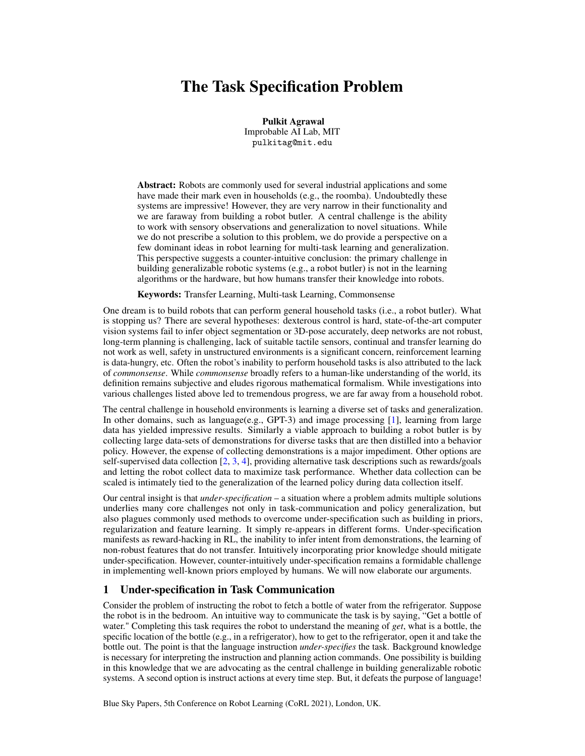# The Task Specification Problem

Pulkit Agrawal Improbable AI Lab, MIT pulkitag@mit.edu

Abstract: Robots are commonly used for several industrial applications and some have made their mark even in households (e.g., the roomba). Undoubtedly these systems are impressive! However, they are very narrow in their functionality and we are faraway from building a robot butler. A central challenge is the ability to work with sensory observations and generalization to novel situations. While we do not prescribe a solution to this problem, we do provide a perspective on a few dominant ideas in robot learning for multi-task learning and generalization. This perspective suggests a counter-intuitive conclusion: the primary challenge in building generalizable robotic systems (e.g., a robot butler) is not in the learning algorithms or the hardware, but how humans transfer their knowledge into robots.

Keywords: Transfer Learning, Multi-task Learning, Commonsense

One dream is to build robots that can perform general household tasks (i.e., a robot butler). What is stopping us? There are several hypotheses: dexterous control is hard, state-of-the-art computer vision systems fail to infer object segmentation or 3D-pose accurately, deep networks are not robust, long-term planning is challenging, lack of suitable tactile sensors, continual and transfer learning do not work as well, safety in unstructured environments is a significant concern, reinforcement learning is data-hungry, etc. Often the robot's inability to perform household tasks is also attributed to the lack of *commonsense*. While *commonsense* broadly refers to a human-like understanding of the world, its definition remains subjective and eludes rigorous mathematical formalism. While investigations into various challenges listed above led to tremendous progress, we are far away from a household robot.

The central challenge in household environments is learning a diverse set of tasks and generalization. In other domains, such as language(e.g., GPT-3) and image processing [\[1\]](#page-4-0), learning from large data has yielded impressive results. Similarly a viable approach to building a robot butler is by collecting large data-sets of demonstrations for diverse tasks that are then distilled into a behavior policy. However, the expense of collecting demonstrations is a major impediment. Other options are self-supervised data collection [\[2,](#page-4-0) [3,](#page-4-0) [4\]](#page-4-0), providing alternative task descriptions such as rewards/goals and letting the robot collect data to maximize task performance. Whether data collection can be scaled is intimately tied to the generalization of the learned policy during data collection itself.

Our central insight is that *under-specification* – a situation where a problem admits multiple solutions underlies many core challenges not only in task-communication and policy generalization, but also plagues commonly used methods to overcome under-specification such as building in priors, regularization and feature learning. It simply re-appears in different forms. Under-specification manifests as reward-hacking in RL, the inability to infer intent from demonstrations, the learning of non-robust features that do not transfer. Intuitively incorporating prior knowledge should mitigate under-specification. However, counter-intuitively under-specification remains a formidable challenge in implementing well-known priors employed by humans. We will now elaborate our arguments.

# 1 Under-specification in Task Communication

Consider the problem of instructing the robot to fetch a bottle of water from the refrigerator. Suppose the robot is in the bedroom. An intuitive way to communicate the task is by saying, "Get a bottle of water." Completing this task requires the robot to understand the meaning of *get*, what is a bottle, the specific location of the bottle (e.g., in a refrigerator), how to get to the refrigerator, open it and take the bottle out. The point is that the language instruction *under-specifies* the task. Background knowledge is necessary for interpreting the instruction and planning action commands. One possibility is building in this knowledge that we are advocating as the central challenge in building generalizable robotic systems. A second option is instruct actions at every time step. But, it defeats the purpose of language!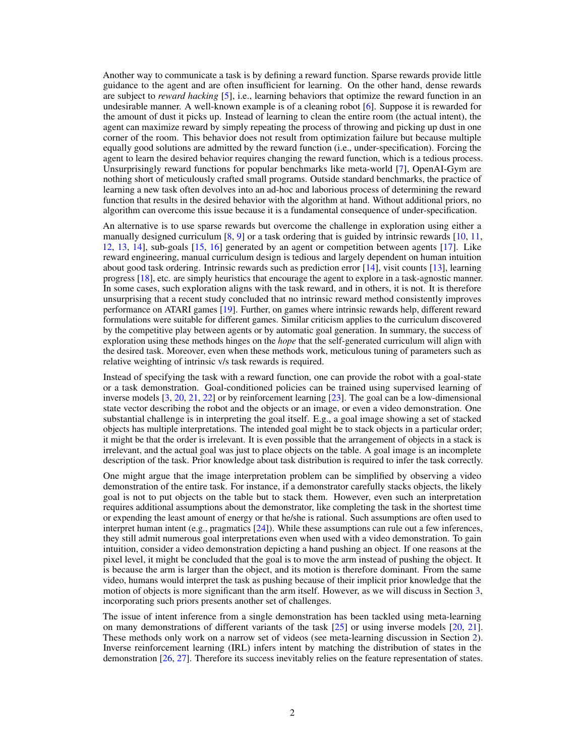Another way to communicate a task is by defining a reward function. Sparse rewards provide little guidance to the agent and are often insufficient for learning. On the other hand, dense rewards are subject to *reward hacking* [\[5\]](#page-4-0), i.e., learning behaviors that optimize the reward function in an undesirable manner. A well-known example is of a cleaning robot [\[6\]](#page-4-0). Suppose it is rewarded for the amount of dust it picks up. Instead of learning to clean the entire room (the actual intent), the agent can maximize reward by simply repeating the process of throwing and picking up dust in one corner of the room. This behavior does not result from optimization failure but because multiple equally good solutions are admitted by the reward function (i.e., under-specification). Forcing the agent to learn the desired behavior requires changing the reward function, which is a tedious process. Unsurprisingly reward functions for popular benchmarks like meta-world [\[7\]](#page-4-0), OpenAI-Gym are nothing short of meticulously crafted small programs. Outside standard benchmarks, the practice of learning a new task often devolves into an ad-hoc and laborious process of determining the reward function that results in the desired behavior with the algorithm at hand. Without additional priors, no algorithm can overcome this issue because it is a fundamental consequence of under-specification.

An alternative is to use sparse rewards but overcome the challenge in exploration using either a manually designed curriculum  $[8, 9]$  $[8, 9]$  $[8, 9]$  or a task ordering that is guided by intrinsic rewards  $[10, 11]$  $[10, 11]$ , [12,](#page-4-0) [13,](#page-4-0) [14\]](#page-4-0), sub-goals [\[15,](#page-4-0) [16\]](#page-4-0) generated by an agent or competition between agents [\[17\]](#page-4-0). Like reward engineering, manual curriculum design is tedious and largely dependent on human intuition about good task ordering. Intrinsic rewards such as prediction error  $[14]$ , visit counts  $[13]$ , learning progress [\[18\]](#page-5-0), etc. are simply heuristics that encourage the agent to explore in a task-agnostic manner. In some cases, such exploration aligns with the task reward, and in others, it is not. It is therefore unsurprising that a recent study concluded that no intrinsic reward method consistently improves performance on ATARI games [\[19\]](#page-5-0). Further, on games where intrinsic rewards help, different reward formulations were suitable for different games. Similar criticism applies to the curriculum discovered by the competitive play between agents or by automatic goal generation. In summary, the success of exploration using these methods hinges on the *hope* that the self-generated curriculum will align with the desired task. Moreover, even when these methods work, meticulous tuning of parameters such as relative weighting of intrinsic v/s task rewards is required.

Instead of specifying the task with a reward function, one can provide the robot with a goal-state or a task demonstration. Goal-conditioned policies can be trained using supervised learning of inverse models [\[3,](#page-4-0) [20,](#page-5-0) [21,](#page-5-0) [22\]](#page-5-0) or by reinforcement learning [\[23\]](#page-5-0). The goal can be a low-dimensional state vector describing the robot and the objects or an image, or even a video demonstration. One substantial challenge is in interpreting the goal itself. E.g., a goal image showing a set of stacked objects has multiple interpretations. The intended goal might be to stack objects in a particular order; it might be that the order is irrelevant. It is even possible that the arrangement of objects in a stack is irrelevant, and the actual goal was just to place objects on the table. A goal image is an incomplete description of the task. Prior knowledge about task distribution is required to infer the task correctly.

One might argue that the image interpretation problem can be simplified by observing a video demonstration of the entire task. For instance, if a demonstrator carefully stacks objects, the likely goal is not to put objects on the table but to stack them. However, even such an interpretation requires additional assumptions about the demonstrator, like completing the task in the shortest time or expending the least amount of energy or that he/she is rational. Such assumptions are often used to interpret human intent (e.g., pragmatics [\[24\]](#page-5-0)). While these assumptions can rule out a few inferences, they still admit numerous goal interpretations even when used with a video demonstration. To gain intuition, consider a video demonstration depicting a hand pushing an object. If one reasons at the pixel level, it might be concluded that the goal is to move the arm instead of pushing the object. It is because the arm is larger than the object, and its motion is therefore dominant. From the same video, humans would interpret the task as pushing because of their implicit prior knowledge that the motion of objects is more significant than the arm itself. However, as we will discuss in Section [3,](#page-2-0) incorporating such priors presents another set of challenges.

The issue of intent inference from a single demonstration has been tackled using meta-learning on many demonstrations of different variants of the task [\[25\]](#page-5-0) or using inverse models [\[20,](#page-5-0) [21\]](#page-5-0). These methods only work on a narrow set of videos (see meta-learning discussion in Section [2\)](#page-2-0). Inverse reinforcement learning (IRL) infers intent by matching the distribution of states in the demonstration [\[26,](#page-5-0) [27\]](#page-5-0). Therefore its success inevitably relies on the feature representation of states.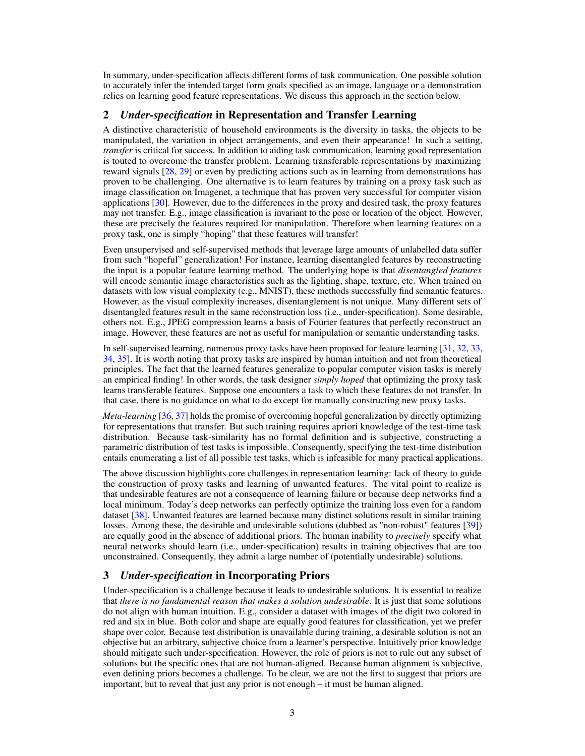<span id="page-2-0"></span>In summary, under-specification affects different forms of task communication. One possible solution to accurately infer the intended target form goals specified as an image, language or a demonstration relies on learning good feature representations. We discuss this approach in the section below.

## 2 *Under-specification* in Representation and Transfer Learning

A distinctive characteristic of household environments is the diversity in tasks, the objects to be manipulated, the variation in object arrangements, and even their appearance! In such a setting, *transfer* is critical for success. In addition to aiding task communication, learning good representation is touted to overcome the transfer problem. Learning transferable representations by maximizing reward signals [\[28,](#page-5-0) [29\]](#page-5-0) or even by predicting actions such as in learning from demonstrations has proven to be challenging. One alternative is to learn features by training on a proxy task such as image classification on Imagenet, a technique that has proven very successful for computer vision applications [\[30\]](#page-5-0). However, due to the differences in the proxy and desired task, the proxy features may not transfer. E.g., image classification is invariant to the pose or location of the object. However, these are precisely the features required for manipulation. Therefore when learning features on a proxy task, one is simply "hoping" that these features will transfer!

Even unsupervised and self-supervised methods that leverage large amounts of unlabelled data suffer from such "hopeful" generalization! For instance, learning disentangled features by reconstructing the input is a popular feature learning method. The underlying hope is that *disentangled features* will encode semantic image characteristics such as the lighting, shape, texture, etc. When trained on datasets with low visual complexity (e.g., MNIST), these methods successfully find semantic features. However, as the visual complexity increases, disentanglement is not unique. Many different sets of disentangled features result in the same reconstruction loss (i.e., under-specification). Some desirable, others not. E.g., JPEG compression learns a basis of Fourier features that perfectly reconstruct an image. However, these features are not as useful for manipulation or semantic understanding tasks.

In self-supervised learning, numerous proxy tasks have been proposed for feature learning [\[31,](#page-5-0) [32,](#page-5-0) [33,](#page-5-0) [34,](#page-5-0) [35\]](#page-5-0). It is worth noting that proxy tasks are inspired by human intuition and not from theoretical principles. The fact that the learned features generalize to popular computer vision tasks is merely an empirical finding! In other words, the task designer *simply hoped* that optimizing the proxy task learns transferable features. Suppose one encounters a task to which these features do not transfer. In that case, there is no guidance on what to do except for manually constructing new proxy tasks.

*Meta-learning* [\[36,](#page-5-0) [37\]](#page-5-0) holds the promise of overcoming hopeful generalization by directly optimizing for representations that transfer. But such training requires apriori knowledge of the test-time task distribution. Because task-similarity has no formal definition and is subjective, constructing a parametric distribution of test tasks is impossible. Consequently, specifying the test-time distribution entails enumerating a list of all possible test tasks, which is infeasible for many practical applications.

The above discussion highlights core challenges in representation learning: lack of theory to guide the construction of proxy tasks and learning of unwanted features. The vital point to realize is that undesirable features are not a consequence of learning failure or because deep networks find a local minimum. Today's deep networks can perfectly optimize the training loss even for a random dataset [\[38\]](#page-6-0). Unwanted features are learned because many distinct solutions result in similar training losses. Among these, the desirable and undesirable solutions (dubbed as "non-robust" features [\[39\]](#page-6-0)) are equally good in the absence of additional priors. The human inability to *precisely* specify what neural networks should learn (i.e., under-specification) results in training objectives that are too unconstrained. Consequently, they admit a large number of (potentially undesirable) solutions.

# 3 *Under-specification* in Incorporating Priors

Under-specification is a challenge because it leads to undesirable solutions. It is essential to realize that *there is no fundamental reason that makes a solution undesirable*. It is just that some solutions do not align with human intuition. E.g., consider a dataset with images of the digit two colored in red and six in blue. Both color and shape are equally good features for classification, yet we prefer shape over color. Because test distribution is unavailable during training, a desirable solution is not an objective but an arbitrary, subjective choice from a learner's perspective. Intuitively prior knowledge should mitigate such under-specification. However, the role of priors is not to rule out any subset of solutions but the specific ones that are not human-aligned. Because human alignment is subjective, even defining priors becomes a challenge. To be clear, we are not the first to suggest that priors are important, but to reveal that just any prior is not enough – it must be human aligned.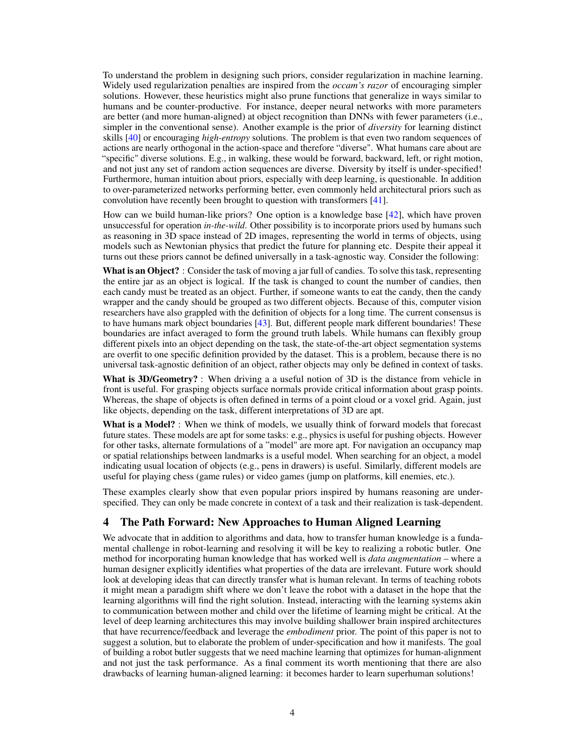To understand the problem in designing such priors, consider regularization in machine learning. Widely used regularization penalties are inspired from the *occam's razor* of encouraging simpler solutions. However, these heuristics might also prune functions that generalize in ways similar to humans and be counter-productive. For instance, deeper neural networks with more parameters are better (and more human-aligned) at object recognition than DNNs with fewer parameters (i.e., simpler in the conventional sense). Another example is the prior of *diversity* for learning distinct skills [\[40\]](#page-6-0) or encouraging *high-entropy* solutions. The problem is that even two random sequences of actions are nearly orthogonal in the action-space and therefore "diverse". What humans care about are "specific" diverse solutions. E.g., in walking, these would be forward, backward, left, or right motion, and not just any set of random action sequences are diverse. Diversity by itself is under-specified! Furthermore, human intuition about priors, especially with deep learning, is questionable. In addition to over-parameterized networks performing better, even commonly held architectural priors such as convolution have recently been brought to question with transformers [\[41\]](#page-6-0).

How can we build human-like priors? One option is a knowledge base [\[42\]](#page-6-0), which have proven unsuccessful for operation *in-the-wild*. Other possibility is to incorporate priors used by humans such as reasoning in 3D space instead of 2D images, representing the world in terms of objects, using models such as Newtonian physics that predict the future for planning etc. Despite their appeal it turns out these priors cannot be defined universally in a task-agnostic way. Consider the following:

What is an Object? : Consider the task of moving a jar full of candies. To solve this task, representing the entire jar as an object is logical. If the task is changed to count the number of candies, then each candy must be treated as an object. Further, if someone wants to eat the candy, then the candy wrapper and the candy should be grouped as two different objects. Because of this, computer vision researchers have also grappled with the definition of objects for a long time. The current consensus is to have humans mark object boundaries [\[43\]](#page-6-0). But, different people mark different boundaries! These boundaries are infact averaged to form the ground truth labels. While humans can flexibly group different pixels into an object depending on the task, the state-of-the-art object segmentation systems are overfit to one specific definition provided by the dataset. This is a problem, because there is no universal task-agnostic definition of an object, rather objects may only be defined in context of tasks.

What is 3D/Geometry? : When driving a a useful notion of 3D is the distance from vehicle in front is useful. For grasping objects surface normals provide critical information about grasp points. Whereas, the shape of objects is often defined in terms of a point cloud or a voxel grid. Again, just like objects, depending on the task, different interpretations of 3D are apt.

What is a Model? : When we think of models, we usually think of forward models that forecast future states. These models are apt for some tasks: e.g., physics is useful for pushing objects. However for other tasks, alternate formulations of a "model" are more apt. For navigation an occupancy map or spatial relationships between landmarks is a useful model. When searching for an object, a model indicating usual location of objects (e.g., pens in drawers) is useful. Similarly, different models are useful for playing chess (game rules) or video games (jump on platforms, kill enemies, etc.).

These examples clearly show that even popular priors inspired by humans reasoning are underspecified. They can only be made concrete in context of a task and their realization is task-dependent.

## 4 The Path Forward: New Approaches to Human Aligned Learning

We advocate that in addition to algorithms and data, how to transfer human knowledge is a fundamental challenge in robot-learning and resolving it will be key to realizing a robotic butler. One method for incorporating human knowledge that has worked well is *data augmentation* – where a human designer explicitly identifies what properties of the data are irrelevant. Future work should look at developing ideas that can directly transfer what is human relevant. In terms of teaching robots it might mean a paradigm shift where we don't leave the robot with a dataset in the hope that the learning algorithms will find the right solution. Instead, interacting with the learning systems akin to communication between mother and child over the lifetime of learning might be critical. At the level of deep learning architectures this may involve building shallower brain inspired architectures that have recurrence/feedback and leverage the *embodiment* prior. The point of this paper is not to suggest a solution, but to elaborate the problem of under-specification and how it manifests. The goal of building a robot butler suggests that we need machine learning that optimizes for human-alignment and not just the task performance. As a final comment its worth mentioning that there are also drawbacks of learning human-aligned learning: it becomes harder to learn superhuman solutions!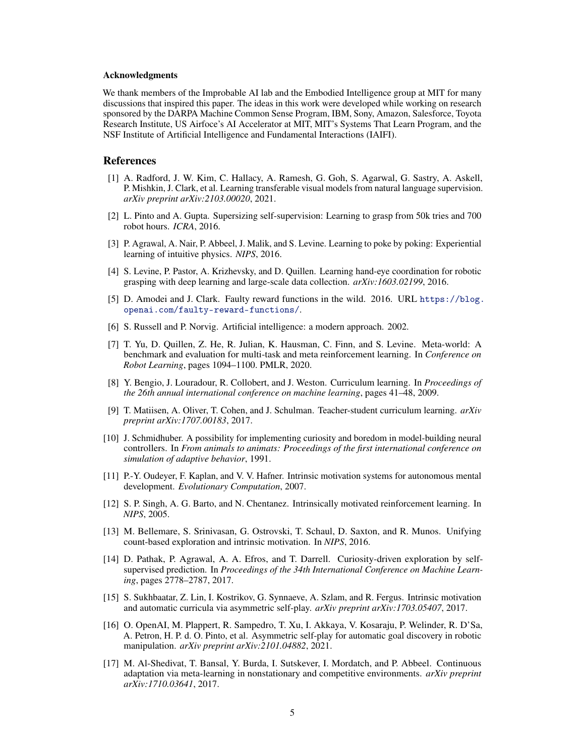#### <span id="page-4-0"></span>Acknowledgments

We thank members of the Improbable AI lab and the Embodied Intelligence group at MIT for many discussions that inspired this paper. The ideas in this work were developed while working on research sponsored by the DARPA Machine Common Sense Program, IBM, Sony, Amazon, Salesforce, Toyota Research Institute, US Airfoce's AI Accelerator at MIT, MIT's Systems That Learn Program, and the NSF Institute of Artificial Intelligence and Fundamental Interactions (IAIFI).

### References

- [1] A. Radford, J. W. Kim, C. Hallacy, A. Ramesh, G. Goh, S. Agarwal, G. Sastry, A. Askell, P. Mishkin, J. Clark, et al. Learning transferable visual models from natural language supervision. *arXiv preprint arXiv:2103.00020*, 2021.
- [2] L. Pinto and A. Gupta. Supersizing self-supervision: Learning to grasp from 50k tries and 700 robot hours. *ICRA*, 2016.
- [3] P. Agrawal, A. Nair, P. Abbeel, J. Malik, and S. Levine. Learning to poke by poking: Experiential learning of intuitive physics. *NIPS*, 2016.
- [4] S. Levine, P. Pastor, A. Krizhevsky, and D. Quillen. Learning hand-eye coordination for robotic grasping with deep learning and large-scale data collection. *arXiv:1603.02199*, 2016.
- [5] D. Amodei and J. Clark. Faulty reward functions in the wild. 2016. URL [https://blog.](https://blog.openai.com/faulty-reward-functions/) [openai.com/faulty-reward-functions/](https://blog.openai.com/faulty-reward-functions/).
- [6] S. Russell and P. Norvig. Artificial intelligence: a modern approach. 2002.
- [7] T. Yu, D. Quillen, Z. He, R. Julian, K. Hausman, C. Finn, and S. Levine. Meta-world: A benchmark and evaluation for multi-task and meta reinforcement learning. In *Conference on Robot Learning*, pages 1094–1100. PMLR, 2020.
- [8] Y. Bengio, J. Louradour, R. Collobert, and J. Weston. Curriculum learning. In *Proceedings of the 26th annual international conference on machine learning*, pages 41–48, 2009.
- [9] T. Matiisen, A. Oliver, T. Cohen, and J. Schulman. Teacher-student curriculum learning. *arXiv preprint arXiv:1707.00183*, 2017.
- [10] J. Schmidhuber. A possibility for implementing curiosity and boredom in model-building neural controllers. In *From animals to animats: Proceedings of the first international conference on simulation of adaptive behavior*, 1991.
- [11] P.-Y. Oudeyer, F. Kaplan, and V. V. Hafner. Intrinsic motivation systems for autonomous mental development. *Evolutionary Computation*, 2007.
- [12] S. P. Singh, A. G. Barto, and N. Chentanez. Intrinsically motivated reinforcement learning. In *NIPS*, 2005.
- [13] M. Bellemare, S. Srinivasan, G. Ostrovski, T. Schaul, D. Saxton, and R. Munos. Unifying count-based exploration and intrinsic motivation. In *NIPS*, 2016.
- [14] D. Pathak, P. Agrawal, A. A. Efros, and T. Darrell. Curiosity-driven exploration by selfsupervised prediction. In *Proceedings of the 34th International Conference on Machine Learning*, pages 2778–2787, 2017.
- [15] S. Sukhbaatar, Z. Lin, I. Kostrikov, G. Synnaeve, A. Szlam, and R. Fergus. Intrinsic motivation and automatic curricula via asymmetric self-play. *arXiv preprint arXiv:1703.05407*, 2017.
- [16] O. OpenAI, M. Plappert, R. Sampedro, T. Xu, I. Akkaya, V. Kosaraju, P. Welinder, R. D'Sa, A. Petron, H. P. d. O. Pinto, et al. Asymmetric self-play for automatic goal discovery in robotic manipulation. *arXiv preprint arXiv:2101.04882*, 2021.
- [17] M. Al-Shedivat, T. Bansal, Y. Burda, I. Sutskever, I. Mordatch, and P. Abbeel. Continuous adaptation via meta-learning in nonstationary and competitive environments. *arXiv preprint arXiv:1710.03641*, 2017.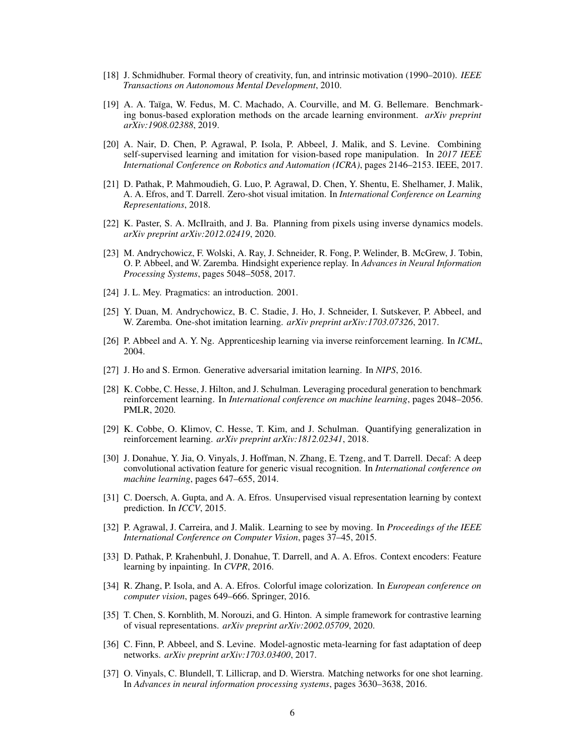- <span id="page-5-0"></span>[18] J. Schmidhuber. Formal theory of creativity, fun, and intrinsic motivation (1990–2010). *IEEE Transactions on Autonomous Mental Development*, 2010.
- [19] A. A. Taïga, W. Fedus, M. C. Machado, A. Courville, and M. G. Bellemare. Benchmarking bonus-based exploration methods on the arcade learning environment. *arXiv preprint arXiv:1908.02388*, 2019.
- [20] A. Nair, D. Chen, P. Agrawal, P. Isola, P. Abbeel, J. Malik, and S. Levine. Combining self-supervised learning and imitation for vision-based rope manipulation. In *2017 IEEE International Conference on Robotics and Automation (ICRA)*, pages 2146–2153. IEEE, 2017.
- [21] D. Pathak, P. Mahmoudieh, G. Luo, P. Agrawal, D. Chen, Y. Shentu, E. Shelhamer, J. Malik, A. A. Efros, and T. Darrell. Zero-shot visual imitation. In *International Conference on Learning Representations*, 2018.
- [22] K. Paster, S. A. McIlraith, and J. Ba. Planning from pixels using inverse dynamics models. *arXiv preprint arXiv:2012.02419*, 2020.
- [23] M. Andrychowicz, F. Wolski, A. Ray, J. Schneider, R. Fong, P. Welinder, B. McGrew, J. Tobin, O. P. Abbeel, and W. Zaremba. Hindsight experience replay. In *Advances in Neural Information Processing Systems*, pages 5048–5058, 2017.
- [24] J. L. Mey. Pragmatics: an introduction. 2001.
- [25] Y. Duan, M. Andrychowicz, B. C. Stadie, J. Ho, J. Schneider, I. Sutskever, P. Abbeel, and W. Zaremba. One-shot imitation learning. *arXiv preprint arXiv:1703.07326*, 2017.
- [26] P. Abbeel and A. Y. Ng. Apprenticeship learning via inverse reinforcement learning. In *ICML*, 2004.
- [27] J. Ho and S. Ermon. Generative adversarial imitation learning. In *NIPS*, 2016.
- [28] K. Cobbe, C. Hesse, J. Hilton, and J. Schulman. Leveraging procedural generation to benchmark reinforcement learning. In *International conference on machine learning*, pages 2048–2056. PMLR, 2020.
- [29] K. Cobbe, O. Klimov, C. Hesse, T. Kim, and J. Schulman. Quantifying generalization in reinforcement learning. *arXiv preprint arXiv:1812.02341*, 2018.
- [30] J. Donahue, Y. Jia, O. Vinyals, J. Hoffman, N. Zhang, E. Tzeng, and T. Darrell. Decaf: A deep convolutional activation feature for generic visual recognition. In *International conference on machine learning*, pages 647–655, 2014.
- [31] C. Doersch, A. Gupta, and A. A. Efros. Unsupervised visual representation learning by context prediction. In *ICCV*, 2015.
- [32] P. Agrawal, J. Carreira, and J. Malik. Learning to see by moving. In *Proceedings of the IEEE International Conference on Computer Vision*, pages 37–45, 2015.
- [33] D. Pathak, P. Krahenbuhl, J. Donahue, T. Darrell, and A. A. Efros. Context encoders: Feature learning by inpainting. In *CVPR*, 2016.
- [34] R. Zhang, P. Isola, and A. A. Efros. Colorful image colorization. In *European conference on computer vision*, pages 649–666. Springer, 2016.
- [35] T. Chen, S. Kornblith, M. Norouzi, and G. Hinton. A simple framework for contrastive learning of visual representations. *arXiv preprint arXiv:2002.05709*, 2020.
- [36] C. Finn, P. Abbeel, and S. Levine. Model-agnostic meta-learning for fast adaptation of deep networks. *arXiv preprint arXiv:1703.03400*, 2017.
- [37] O. Vinyals, C. Blundell, T. Lillicrap, and D. Wierstra. Matching networks for one shot learning. In *Advances in neural information processing systems*, pages 3630–3638, 2016.